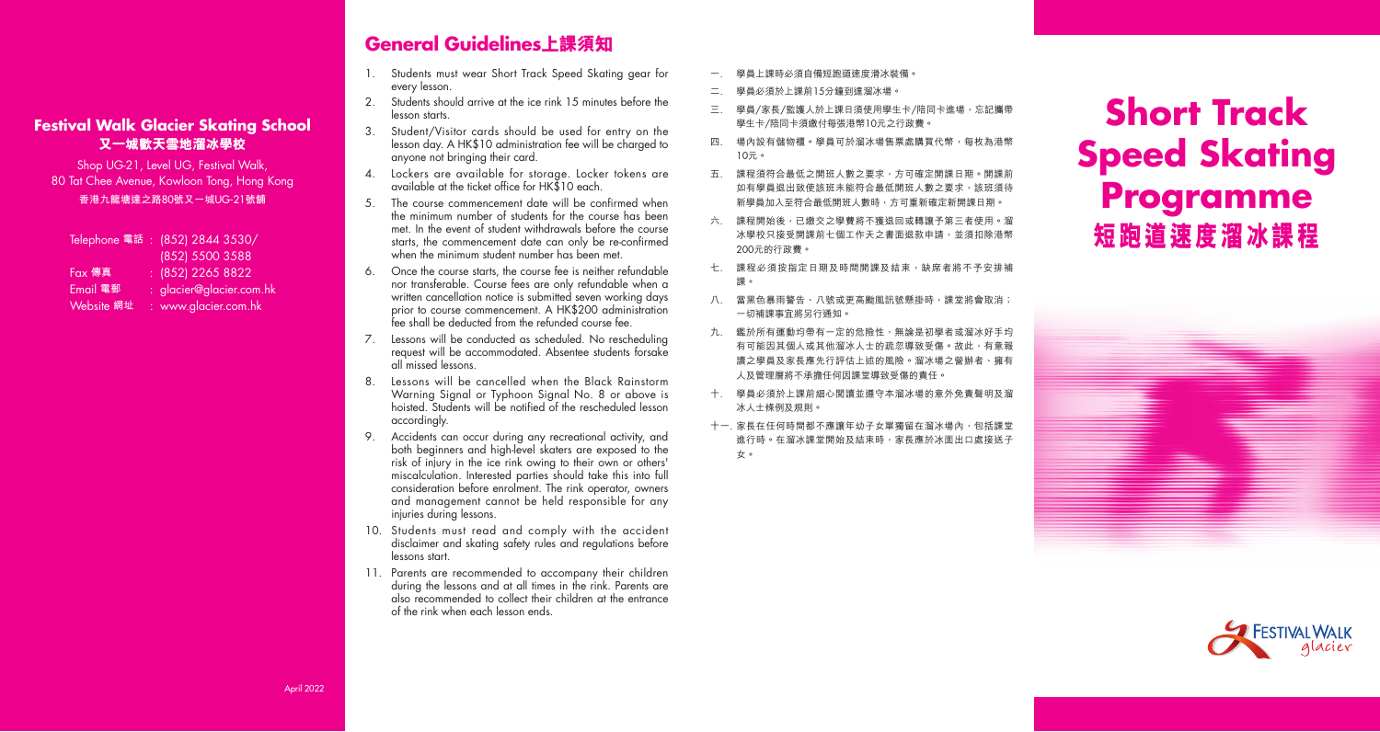#### **Festival Walk Glacier Skating School 又一城歡天雪地溜冰學校**

Shop UG-21, Level UG, Festival Walk, 80 Tat Chee Avenue, Kowloon Tong, Hong Kong **香港九龍塘達之路**80**號又一城**UG-21**號舖**

Telephone **電話** : (852) 2844 3530/ (852) 5500 3588 Fax **傳真** : (852) 2265 8822 Email **電郵** : glacier@glacier.com.hk Website **網址** : www.glacier.com.hk

### **General Guidelines上課須知**

- 1. Students must wear Short Track Speed Skating gear for every lesson.
- 2. Students should arrive at the ice rink 15 minutes before the lesson starts.
- 3. Student/Visitor cards should be used for entry on the lesson day. A HK\$10 administration fee will be charged to anyone not bringing their card.
- 4. Lockers are available for storage. Locker tokens are available at the ticket office for HK\$10 each.
- 5. The course commencement date will be confirmed when the minimum number of students for the course has been met. In the event of student withdrawals before the course starts, the commencement date can only be re-confirmed when the minimum student number has been met.
- 6. Once the course starts, the course fee is neither refundable nor transferable. Course fees are only refundable when a written cancellation notice is submitted seven working days prior to course commencement. A HK\$200 administration fee shall be deducted from the refunded course fee.
- 7. Lessons will be conducted as scheduled. No rescheduling request will be accommodated. Absentee students forsake all missed lessons.
- 8. Lessons will be cancelled when the Black Rainstorm Warning Signal or Typhoon Signal No. 8 or above is hoisted. Students will be notified of the rescheduled lesson accordingly.
- 9. Accidents can occur during any recreational activity, and both beginners and high-level skaters are exposed to the risk of injury in the ice rink owing to their own or others' miscalculation. Interested parties should take this into full consideration before enrolment. The rink operator, owners and management cannot be held responsible for any injuries during lessons.
- 10. Students must read and comply with the accident disclaimer and skating safety rules and regulations before lessons start.
- 11. Parents are recommended to accompany their children during the lessons and at all times in the rink. Parents are also recommended to collect their children at the entrance of the rink when each lesson ends.
- 學員上課時必須自備短跑道速度滑冰裝備。
- 二. 學員必須於上課前15分鐘到達溜冰場。
- 三. 學員/家長/監護人於上課日須使用學生卡/陪同卡進場,忘記攜帶 學生卡/陪同卡須繳付每張港幣10元之行政費
- 四 場內設有儲物櫃。學員可於溜冰場售票處購買代幣,每枚為港幣 10元。
- 五. 課程須符合最低之開班人數之要求,方可確定開課日期。開課前 如有學員退出致使該班未能符合最低開班人數之要求,該班須待 新學員加入至符合最低開班人數時,方可重新確定新開課日期。
- 六. 課程開始後,已繳交之學費將不獲退回或轉讓予第三者使用。溜 冰學校只接受開課前七個工作天之書面退款申請,並須扣除港幣 200元的行政費。
- 七. 課程必須按指定日期及時間開課及結束,缺席者將不予安排補 課。
- 八. 當黑色暴雨警告、八號或更高颱風訊號懸掛時,課堂將會取消; 一切補課事宜將另行通知。
- 九. 鑑於所有運動均帶有一定的危險性,無論是初學者或溜冰好手均 有可能因其個人或其他溜冰人士的疏忽導致受傷。故此,有意報 讀之學員及家長應先行評估上述的風險。溜冰場之營辦者、擁有 人及管理層將不承擔任何因課堂導致受傷的責任。
- 十. 學員必須於上課前細心閱讀並遵守本溜冰場的意外免責聲明及溜 冰人士條例及規則。
- 十一. 家長在任何時間都不應讓年幼子女單獨留在溜冰場內, 包括課堂 進行時。在溜冰課堂開始及結束時,家長應於冰面出口處接送子 女。

# **Short Track Speed Skating Programme 短跑道速度溜冰課程**